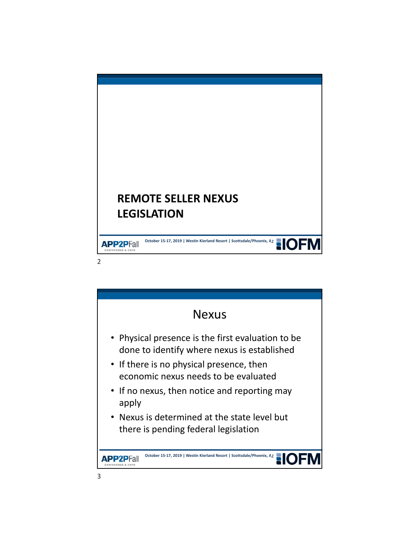

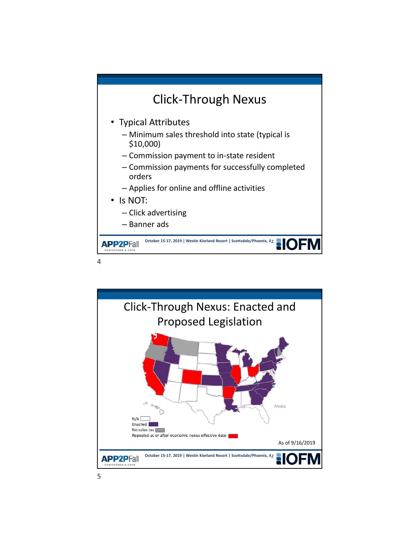



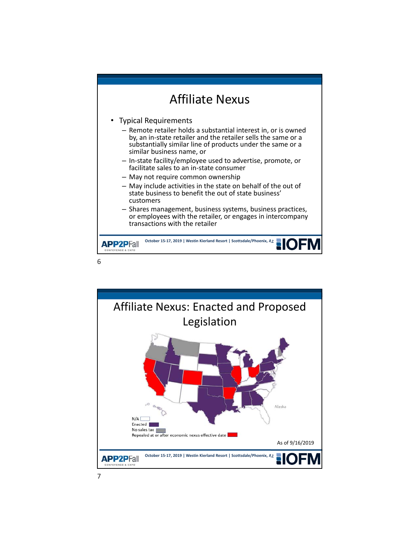

- by, an in‐state retailer and the retailer sells the same or a substantially similar line of products under the same or a similar business name, or
- In‐state facility/employee used to advertise, promote, or facilitate sales to an in‐state consumer
- May not require common ownership
- May include activities in the state on behalf of the out of state business to benefit the out of state business' customers
- Shares management, business systems, business practices, or employees with the retailer, or engages in intercompany transactions with the retailer

**October 15-17, 2019 | Westin Kierland Resort | Scottsdale/Phoenix, AZ APP2PFall** ONFERENCE & EXPO

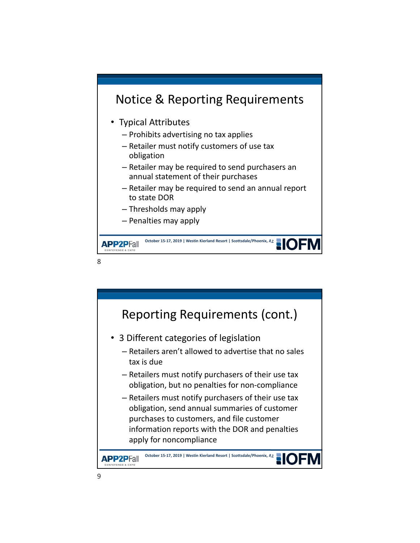

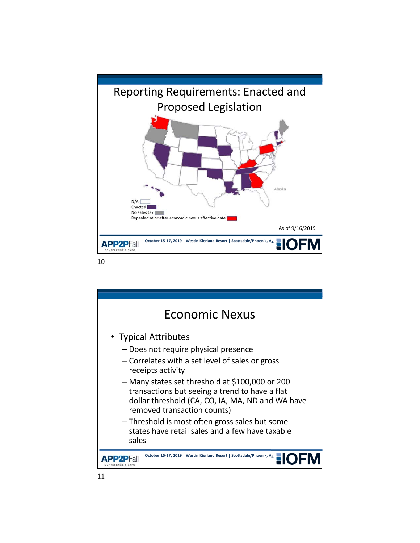

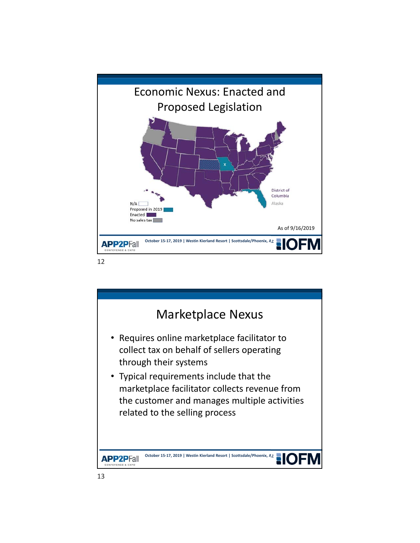



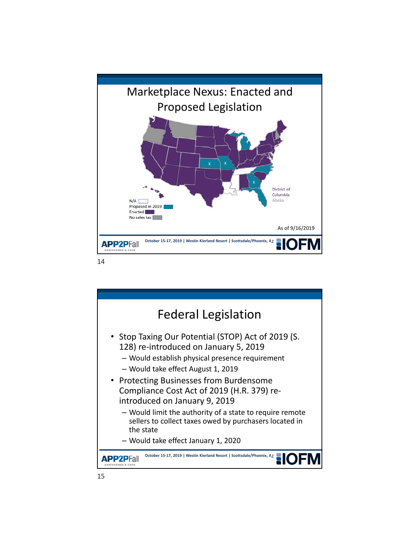

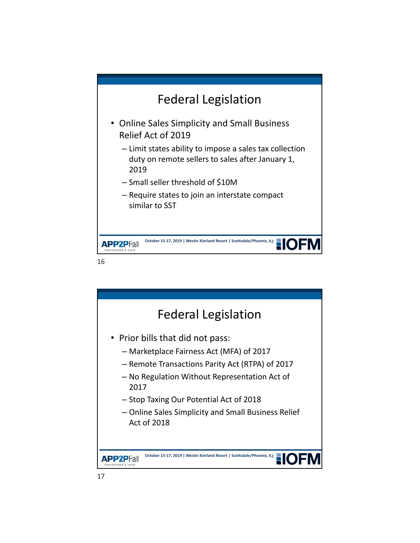

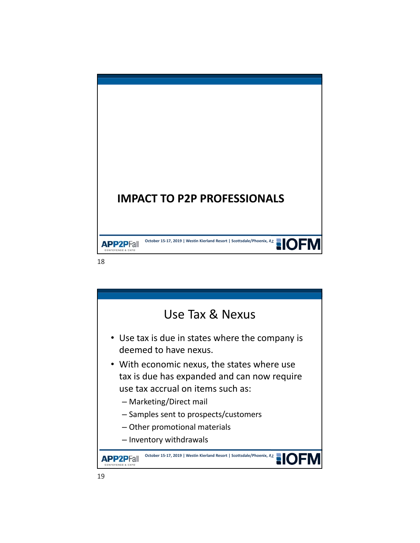

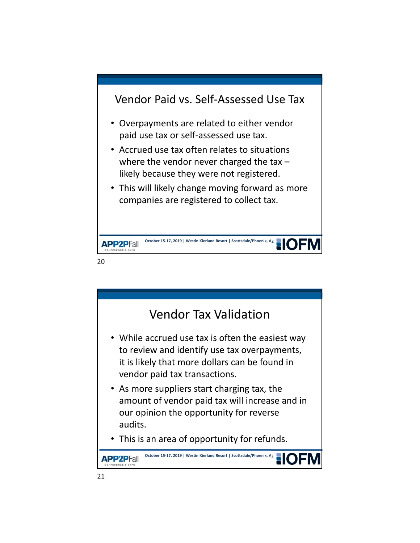

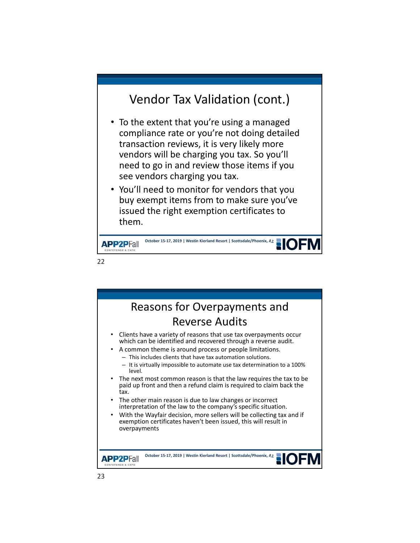## Vendor Tax Validation (cont.)

- To the extent that you're using a managed compliance rate or you're not doing detailed transaction reviews, it is very likely more vendors will be charging you tax. So you'll need to go in and review those items if you see vendors charging you tax.
- You'll need to monitor for vendors that you buy exempt items from to make sure you've issued the right exemption certificates to them.



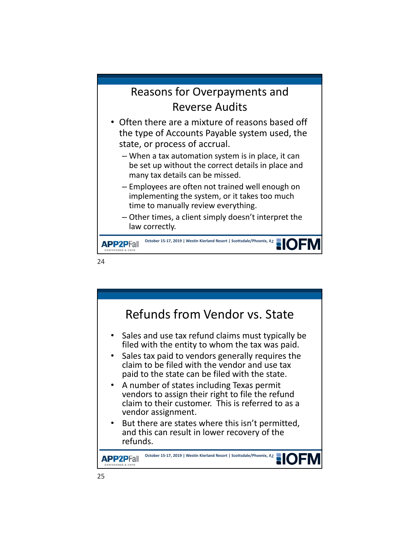## Reasons for Overpayments and Reverse Audits

- Often there are a mixture of reasons based off the type of Accounts Payable system used, the state, or process of accrual.
	- When a tax automation system is in place, it can be set up without the correct details in place and many tax details can be missed.
	- Employees are often not trained well enough on implementing the system, or it takes too much time to manually review everything.
	- Other times, a client simply doesn't interpret the law correctly.



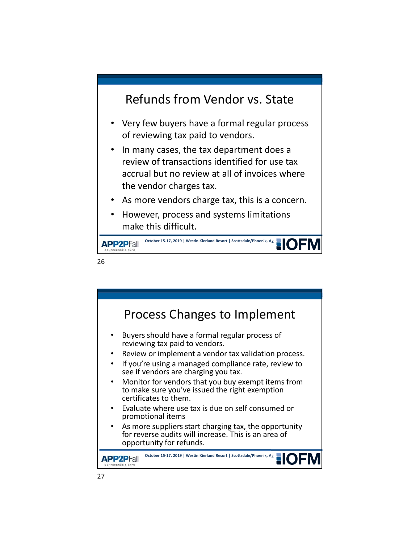## Refunds from Vendor vs. State

- Very few buyers have a formal regular process of reviewing tax paid to vendors.
- In many cases, the tax department does a review of transactions identified for use tax accrual but no review at all of invoices where the vendor charges tax.
- As more vendors charge tax, this is a concern.
- However, process and systems limitations make this difficult.



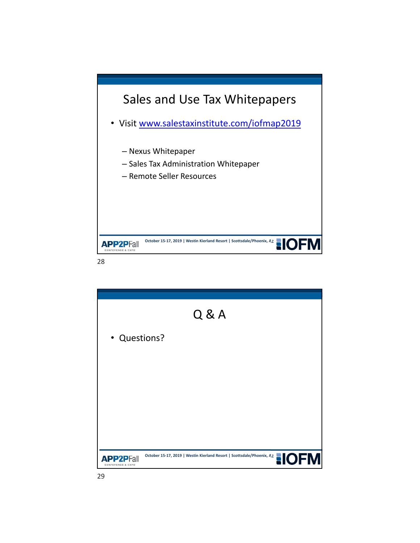